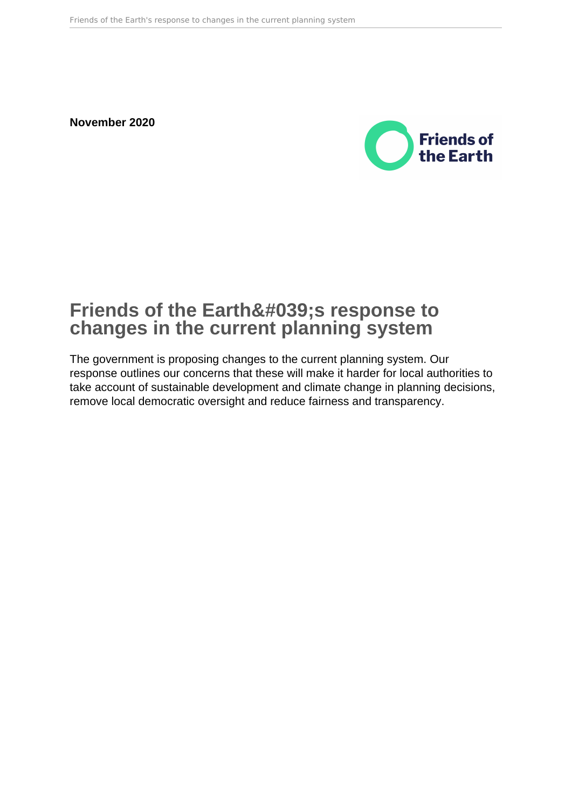**November 2020**



# **Friends of the Earth's response to changes in the current planning system**

The government is proposing changes to the current planning system. Our response outlines our concerns that these will make it harder for local authorities to take account of sustainable development and climate change in planning decisions, remove local democratic oversight and reduce fairness and transparency.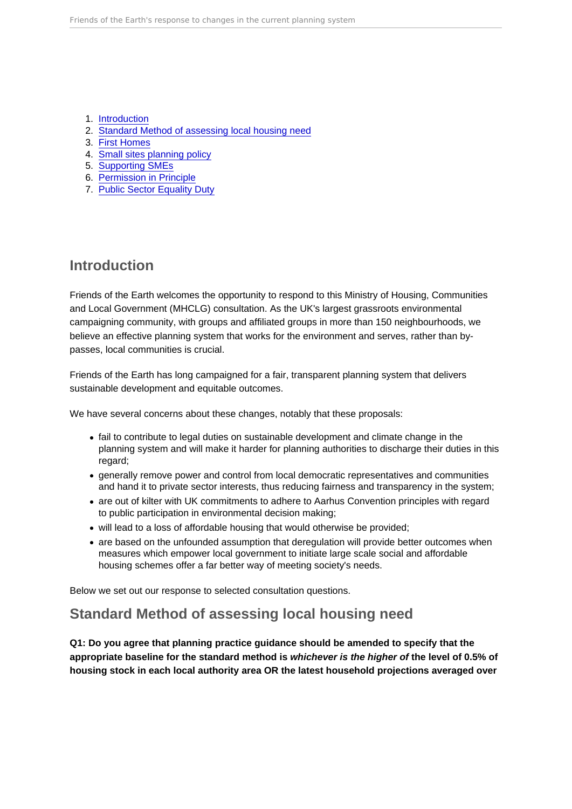- 1. Introduction
- 2. Standard Method of assessing local housing need
- 3. [First Homes](#page-3-0)
- 4. [Small sites planning policy](#page-4-0)
- 5. [Supporting SMEs](#page-5-0)
- 6. [Permission in Principle](#page-5-0)
- 7. [Public Sector Equality Duty](#page-8-0)

### Introduction

Friends of the Earth welcomes the opportunity to respond to this Ministry of Housing, Communities and Local Government (MHCLG) consultation. As the UK's largest grassroots environmental campaigning community, with groups and affiliated groups in more than 150 neighbourhoods, we believe an effective planning system that works for the environment and serves, rather than bypasses, local communities is crucial.

Friends of the Earth has long campaigned for a fair, transparent planning system that delivers sustainable development and equitable outcomes.

We have several concerns about these changes, notably that these proposals:

- fail to contribute to legal duties on sustainable development and climate change in the planning system and will make it harder for planning authorities to discharge their duties in this regard;
- generally remove power and control from local democratic representatives and communities and hand it to private sector interests, thus reducing fairness and transparency in the system;
- are out of kilter with UK commitments to adhere to Aarhus Convention principles with regard to public participation in environmental decision making;
- will lead to a loss of affordable housing that would otherwise be provided;
- are based on the unfounded assumption that deregulation will provide better outcomes when measures which empower local government to initiate large scale social and affordable housing schemes offer a far better way of meeting society's needs.

Below we set out our response to selected consultation questions.

### Standard Method of assessing local housing need

Q1: Do you agree that planning practice guidance should be amended to specify that the appropriate baseline for the standard method is whichever is the higher of the level of 0.5% of housing stock in each local authority area OR the latest household projections averaged over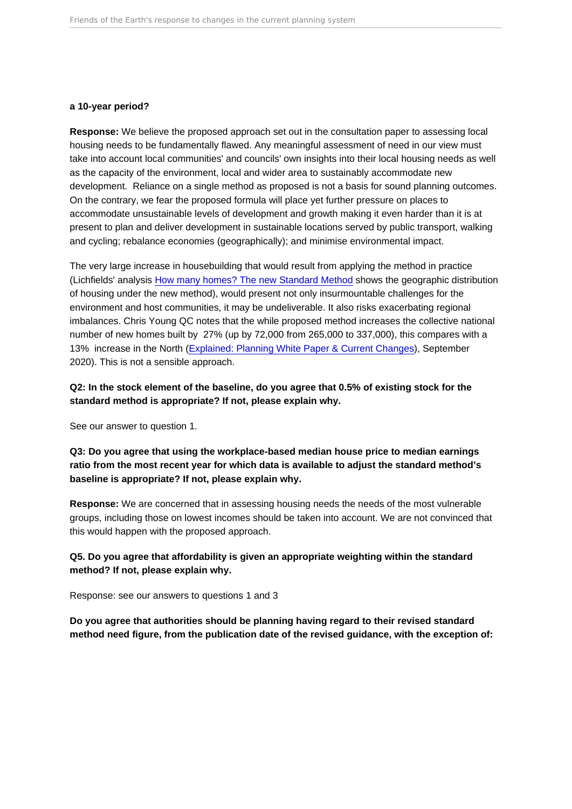#### a 10-year period?

Response: We believe the proposed approach set out in the consultation paper to assessing local housing needs to be fundamentally flawed. Any meaningful assessment of need in our view must take into account local communities' and councils' own insights into their local housing needs as well as the capacity of the environment, local and wider area to sustainably accommodate new development. Reliance on a single method as proposed is not a basis for sound planning outcomes. On the contrary, we fear the proposed formula will place yet further pressure on places to accommodate unsustainable levels of development and growth making it even harder than it is at present to plan and deliver development in sustainable locations served by public transport, walking and cycling; rebalance economies (geographically); and minimise environmental impact.

The very large increase in housebuilding that would result from applying the method in practice (Lichfields' analysis [How many homes? The new Standard Method](https://lichfields.uk/grow-renew-protect-planning-for-the-future/how-many-homes-the-new-standard-method) shows the geographic distribution of housing under the new method), would present not only insurmountable challenges for the environment and host communities, it may be undeliverable. It also risks exacerbating regional imbalances. Chris Young QC notes that the while proposed method increases the collective national number of new homes built by 27% (up by 72,000 from 265,000 to 337,000), this compares with a 13% increase in the North ([Explained: Planning White Paper & Current Changes](https://www.communityventuresltd.co.uk/wp-content/uploads/2020/09/Chris-Young-Paper.pdf)), September 2020). This is not a sensible approach.

Q2: In the stock element of the baseline, do you agree that 0.5% of existing stock for the standard method is appropriate? If not, please explain why.

See our answer to question 1.

Q3: Do you agree that using the workplace-based median house price to median earnings ratio from the most recent year for which data is available to adjust the standard method's baseline is appropriate? If not, please explain why.

Response: We are concerned that in assessing housing needs the needs of the most vulnerable groups, including those on lowest incomes should be taken into account. We are not convinced that this would happen with the proposed approach.

Q5. Do you agree that affordability is given an appropriate weighting within the standard method? If not, please explain why.

Response: see our answers to questions 1 and 3

Do you agree that authorities should be planning having regard to their revised standard method need figure, from the publication date of the revised guidance, with the exception of: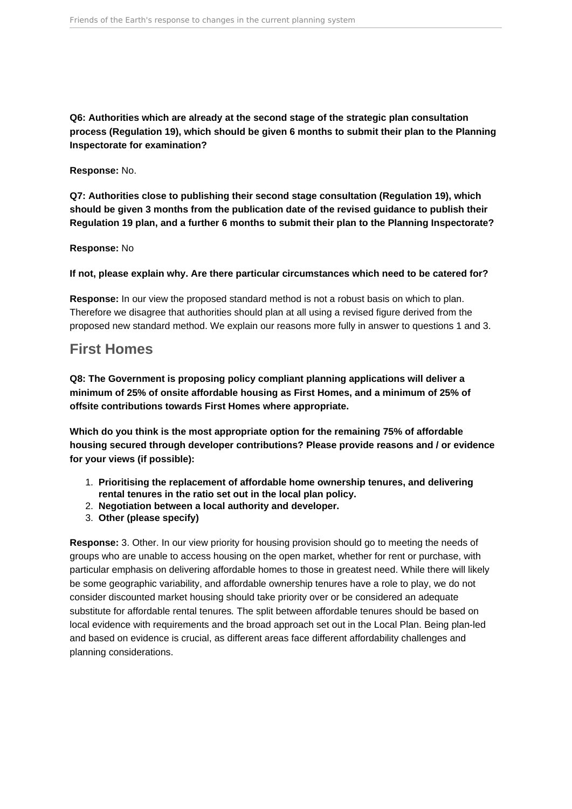<span id="page-3-0"></span>**Q6: Authorities which are already at the second stage of the strategic plan consultation process (Regulation 19), which should be given 6 months to submit their plan to the Planning Inspectorate for examination?**

**Response:** No.

**Q7: Authorities close to publishing their second stage consultation (Regulation 19), which should be given 3 months from the publication date of the revised guidance to publish their Regulation 19 plan, and a further 6 months to submit their plan to the Planning Inspectorate?**

**Response:** No

**If not, please explain why. Are there particular circumstances which need to be catered for?** 

**Response:** In our view the proposed standard method is not a robust basis on which to plan. Therefore we disagree that authorities should plan at all using a revised figure derived from the proposed new standard method. We explain our reasons more fully in answer to questions 1 and 3.

### **First Homes**

**Q8: The Government is proposing policy compliant planning applications will deliver a minimum of 25% of onsite affordable housing as First Homes, and a minimum of 25% of offsite contributions towards First Homes where appropriate.**

**Which do you think is the most appropriate option for the remaining 75% of affordable housing secured through developer contributions? Please provide reasons and / or evidence for your views (if possible):** 

- 1. **Prioritising the replacement of affordable home ownership tenures, and delivering rental tenures in the ratio set out in the local plan policy.**
- 2. **Negotiation between a local authority and developer.**
- 3. **Other (please specify)**

**Response:** 3. Other. In our view priority for housing provision should go to meeting the needs of groups who are unable to access housing on the open market, whether for rent or purchase, with particular emphasis on delivering affordable homes to those in greatest need. While there will likely be some geographic variability, and affordable ownership tenures have a role to play, we do not consider discounted market housing should take priority over or be considered an adequate substitute for affordable rental tenures. The split between affordable tenures should be based on local evidence with requirements and the broad approach set out in the Local Plan. Being plan-led and based on evidence is crucial, as different areas face different affordability challenges and planning considerations.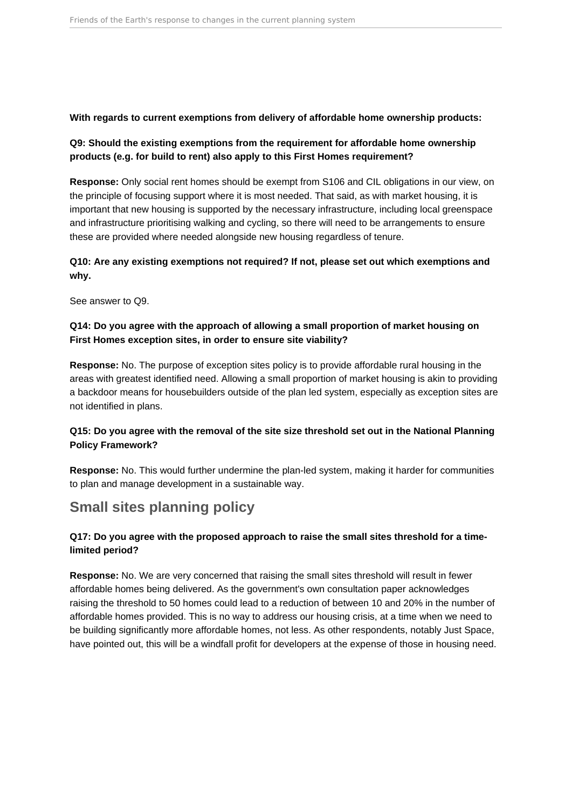#### <span id="page-4-0"></span>**With regards to current exemptions from delivery of affordable home ownership products:**

### **Q9: Should the existing exemptions from the requirement for affordable home ownership products (e.g. for build to rent) also apply to this First Homes requirement?**

**Response:** Only social rent homes should be exempt from S106 and CIL obligations in our view, on the principle of focusing support where it is most needed. That said, as with market housing, it is important that new housing is supported by the necessary infrastructure, including local greenspace and infrastructure prioritising walking and cycling, so there will need to be arrangements to ensure these are provided where needed alongside new housing regardless of tenure.

### **Q10: Are any existing exemptions not required? If not, please set out which exemptions and why.**

See answer to Q9.

### **Q14: Do you agree with the approach of allowing a small proportion of market housing on First Homes exception sites, in order to ensure site viability?**

**Response:** No. The purpose of exception sites policy is to provide affordable rural housing in the areas with greatest identified need. Allowing a small proportion of market housing is akin to providing a backdoor means for housebuilders outside of the plan led system, especially as exception sites are not identified in plans.

### **Q15: Do you agree with the removal of the site size threshold set out in the National Planning Policy Framework?**

**Response:** No. This would further undermine the plan-led system, making it harder for communities to plan and manage development in a sustainable way.

### **Small sites planning policy**

### **Q17: Do you agree with the proposed approach to raise the small sites threshold for a timelimited period?**

**Response:** No. We are very concerned that raising the small sites threshold will result in fewer affordable homes being delivered. As the government's own consultation paper acknowledges raising the threshold to 50 homes could lead to a reduction of between 10 and 20% in the number of affordable homes provided. This is no way to address our housing crisis, at a time when we need to be building significantly more affordable homes, not less. As other respondents, notably Just Space, have pointed out, this will be a windfall profit for developers at the expense of those in housing need.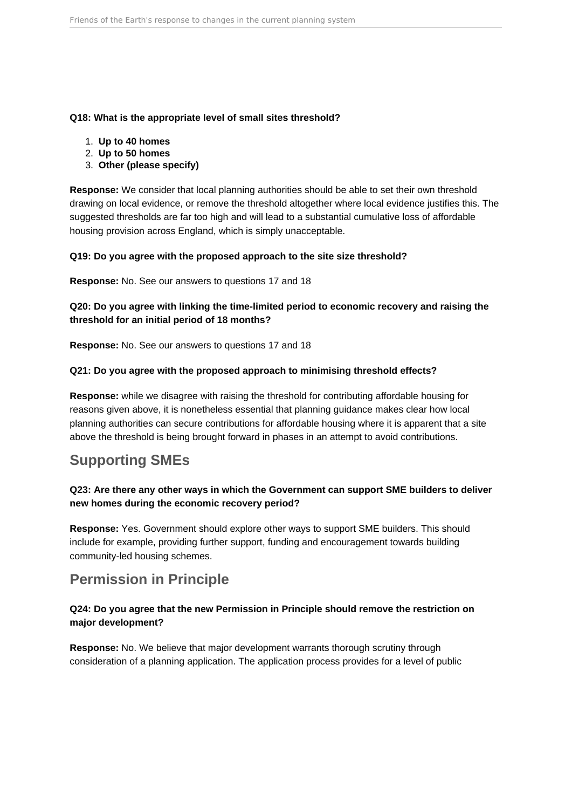#### <span id="page-5-0"></span>**Q18: What is the appropriate level of small sites threshold?**

- 1. **Up to 40 homes**
- 2. **Up to 50 homes**
- 3. **Other (please specify)**

**Response:** We consider that local planning authorities should be able to set their own threshold drawing on local evidence, or remove the threshold altogether where local evidence justifies this. The suggested thresholds are far too high and will lead to a substantial cumulative loss of affordable housing provision across England, which is simply unacceptable.

#### **Q19: Do you agree with the proposed approach to the site size threshold?**

**Response:** No. See our answers to questions 17 and 18

### **Q20: Do you agree with linking the time-limited period to economic recovery and raising the threshold for an initial period of 18 months?**

**Response:** No. See our answers to questions 17 and 18

### **Q21: Do you agree with the proposed approach to minimising threshold effects?**

**Response:** while we disagree with raising the threshold for contributing affordable housing for reasons given above, it is nonetheless essential that planning guidance makes clear how local planning authorities can secure contributions for affordable housing where it is apparent that a site above the threshold is being brought forward in phases in an attempt to avoid contributions.

## **Supporting SMEs**

### **Q23: Are there any other ways in which the Government can support SME builders to deliver new homes during the economic recovery period?**

**Response:** Yes. Government should explore other ways to support SME builders. This should include for example, providing further support, funding and encouragement towards building community-led housing schemes.

## **Permission in Principle**

### **Q24: Do you agree that the new Permission in Principle should remove the restriction on major development?**

**Response:** No. We believe that major development warrants thorough scrutiny through consideration of a planning application. The application process provides for a level of public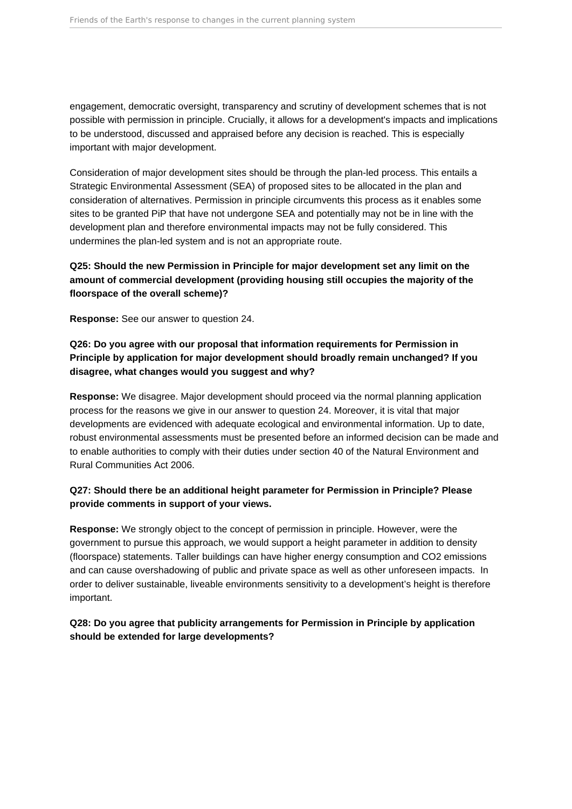engagement, democratic oversight, transparency and scrutiny of development schemes that is not possible with permission in principle. Crucially, it allows for a development's impacts and implications to be understood, discussed and appraised before any decision is reached. This is especially important with major development.

Consideration of major development sites should be through the plan-led process. This entails a Strategic Environmental Assessment (SEA) of proposed sites to be allocated in the plan and consideration of alternatives. Permission in principle circumvents this process as it enables some sites to be granted PiP that have not undergone SEA and potentially may not be in line with the development plan and therefore environmental impacts may not be fully considered. This undermines the plan-led system and is not an appropriate route.

### **Q25: Should the new Permission in Principle for major development set any limit on the amount of commercial development (providing housing still occupies the majority of the floorspace of the overall scheme)?**

**Response:** See our answer to question 24.

### **Q26: Do you agree with our proposal that information requirements for Permission in Principle by application for major development should broadly remain unchanged? If you disagree, what changes would you suggest and why?**

**Response:** We disagree. Major development should proceed via the normal planning application process for the reasons we give in our answer to question 24. Moreover, it is vital that major developments are evidenced with adequate ecological and environmental information. Up to date, robust environmental assessments must be presented before an informed decision can be made and to enable authorities to comply with their duties under section 40 of the Natural Environment and Rural Communities Act 2006.

### **Q27: Should there be an additional height parameter for Permission in Principle? Please provide comments in support of your views.**

**Response:** We strongly object to the concept of permission in principle. However, were the government to pursue this approach, we would support a height parameter in addition to density (floorspace) statements. Taller buildings can have higher energy consumption and CO2 emissions and can cause overshadowing of public and private space as well as other unforeseen impacts. In order to deliver sustainable, liveable environments sensitivity to a development's height is therefore important.

### **Q28: Do you agree that publicity arrangements for Permission in Principle by application should be extended for large developments?**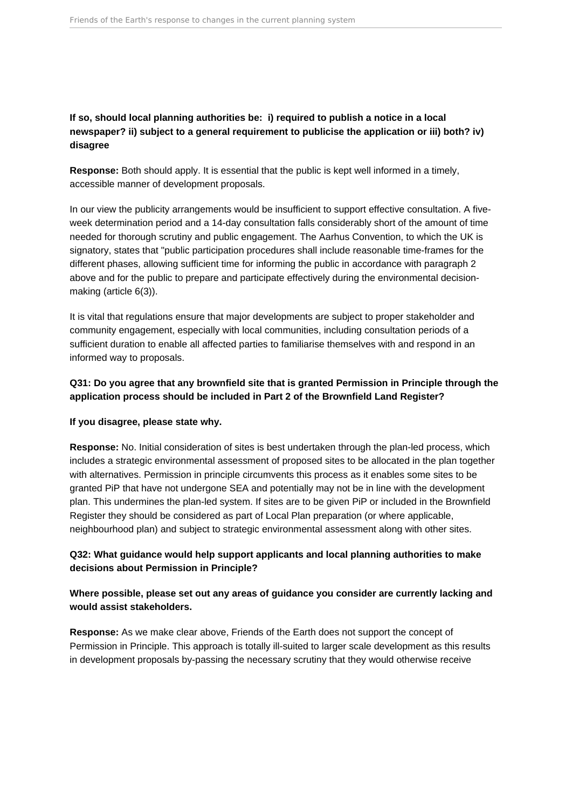### **If so, should local planning authorities be: i) required to publish a notice in a local newspaper? ii) subject to a general requirement to publicise the application or iii) both? iv) disagree**

**Response:** Both should apply. It is essential that the public is kept well informed in a timely, accessible manner of development proposals.

In our view the publicity arrangements would be insufficient to support effective consultation. A fiveweek determination period and a 14-day consultation falls considerably short of the amount of time needed for thorough scrutiny and public engagement. The Aarhus Convention, to which the UK is signatory, states that "public participation procedures shall include reasonable time-frames for the different phases, allowing sufficient time for informing the public in accordance with paragraph 2 above and for the public to prepare and participate effectively during the environmental decisionmaking (article 6(3)).

It is vital that regulations ensure that major developments are subject to proper stakeholder and community engagement, especially with local communities, including consultation periods of a sufficient duration to enable all affected parties to familiarise themselves with and respond in an informed way to proposals.

### **Q31: Do you agree that any brownfield site that is granted Permission in Principle through the application process should be included in Part 2 of the Brownfield Land Register?**

#### **If you disagree, please state why.**

**Response:** No. Initial consideration of sites is best undertaken through the plan-led process, which includes a strategic environmental assessment of proposed sites to be allocated in the plan together with alternatives. Permission in principle circumvents this process as it enables some sites to be granted PiP that have not undergone SEA and potentially may not be in line with the development plan. This undermines the plan-led system. If sites are to be given PiP or included in the Brownfield Register they should be considered as part of Local Plan preparation (or where applicable, neighbourhood plan) and subject to strategic environmental assessment along with other sites.

### **Q32: What guidance would help support applicants and local planning authorities to make decisions about Permission in Principle?**

### **Where possible, please set out any areas of guidance you consider are currently lacking and would assist stakeholders.**

**Response:** As we make clear above, Friends of the Earth does not support the concept of Permission in Principle. This approach is totally ill-suited to larger scale development as this results in development proposals by-passing the necessary scrutiny that they would otherwise receive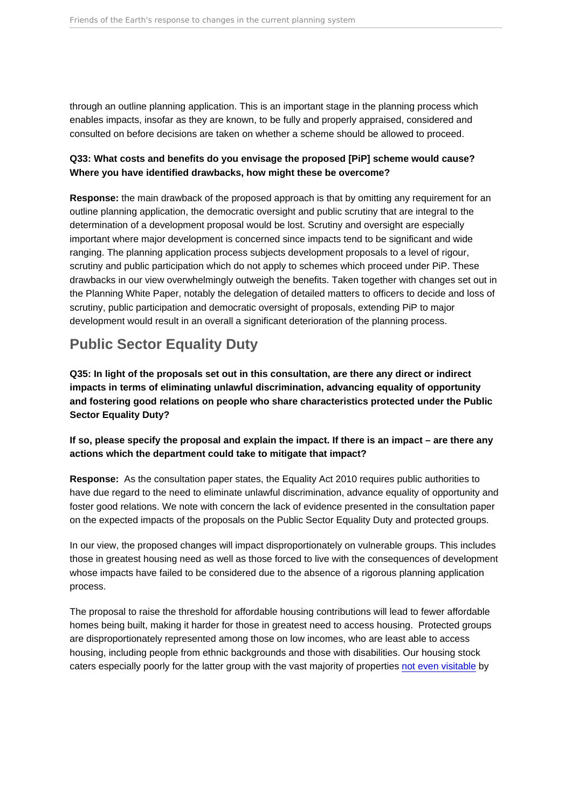<span id="page-8-0"></span>through an outline planning application. This is an important stage in the planning process which enables impacts, insofar as they are known, to be fully and properly appraised, considered and consulted on before decisions are taken on whether a scheme should be allowed to proceed.

Q33: What costs and benefits do you envisage the proposed [PiP] scheme would cause? Where you have identified drawbacks, how might these be overcome?

Response: the main drawback of the proposed approach is that by omitting any requirement for an outline planning application, the democratic oversight and public scrutiny that are integral to the determination of a development proposal would be lost. Scrutiny and oversight are especially important where major development is concerned since impacts tend to be significant and wide ranging. The planning application process subjects development proposals to a level of rigour, scrutiny and public participation which do not apply to schemes which proceed under PiP. These drawbacks in our view overwhelmingly outweigh the benefits. Taken together with changes set out in the Planning White Paper, notably the delegation of detailed matters to officers to decide and loss of scrutiny, public participation and democratic oversight of proposals, extending PiP to major development would result in an overall a significant deterioration of the planning process.

### Public Sector Equality Duty

Q35: In light of the proposals set out in this consultation, are there any direct or indirect impacts in terms of eliminating unlawful discrimination, advancing equality of opportunity and fostering good relations on people who share characteristics protected under the Public Sector Equality Duty?

If so, please specify the proposal and explain the impact. If there is an impact – are there any actions which the department could take to mitigate that impact?

Response: As the consultation paper states, the Equality Act 2010 requires public authorities to have due regard to the need to eliminate unlawful discrimination, advance equality of opportunity and foster good relations. We note with concern the lack of evidence presented in the consultation paper on the expected impacts of the proposals on the Public Sector Equality Duty and protected groups.

In our view, the proposed changes will impact disproportionately on vulnerable groups. This includes those in greatest housing need as well as those forced to live with the consequences of development whose impacts have failed to be considered due to the absence of a rigorous planning application process.

The proposal to raise the threshold for affordable housing contributions will lead to fewer affordable homes being built, making it harder for those in greatest need to access housing. Protected groups are disproportionately represented among those on low incomes, who are least able to access housing, including people from ethnic backgrounds and those with disabilities. Our housing stock caters especially poorly for the latter group with the vast majority of properties [not even visitable](https://www.theguardian.com/society/2019/jun/05/new-homes-accessible-older-disabled-people) by